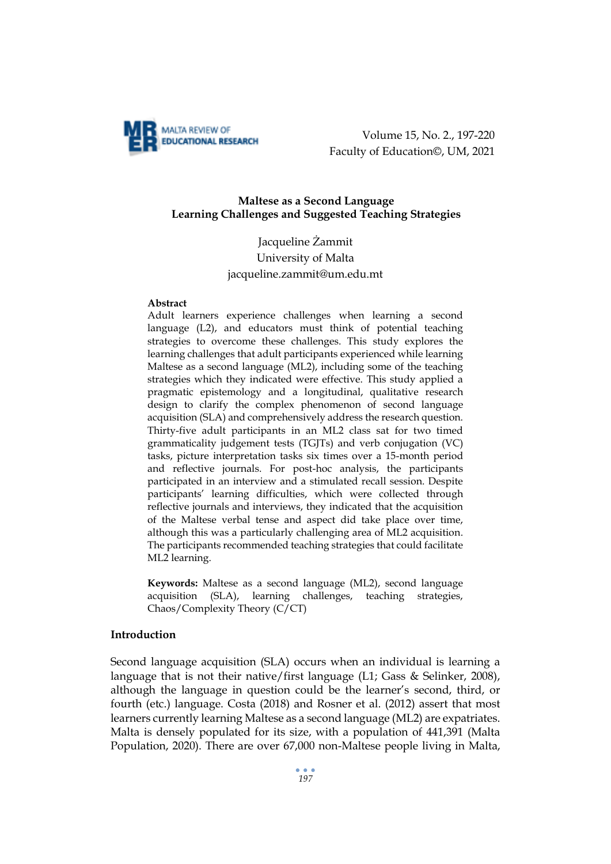

Volume 15, No. 2., 197-220 Faculty of Education©, UM, 2021

## **Maltese as a Second Language Learning Challenges and Suggested Teaching Strategies**

# Jacqueline Żammit University of Malta [jacqueline.zammit@um.edu.mt](mailto:jacqueline.zammit@um.edu.mt)

#### **Abstract**

Adult learners experience challenges when learning a second language (L2), and educators must think of potential teaching strategies to overcome these challenges. This study explores the learning challenges that adult participants experienced while learning Maltese as a second language (ML2), including some of the teaching strategies which they indicated were effective. This study applied a pragmatic epistemology and a longitudinal, qualitative research design to clarify the complex phenomenon of second language acquisition (SLA) and comprehensively address the research question. Thirty-five adult participants in an ML2 class sat for two timed grammaticality judgement tests (TGJTs) and verb conjugation (VC) tasks, picture interpretation tasks six times over a 15-month period and reflective journals. For post-hoc analysis, the participants participated in an interview and a stimulated recall session. Despite participants' learning difficulties, which were collected through reflective journals and interviews, they indicated that the acquisition of the Maltese verbal tense and aspect did take place over time, although this was a particularly challenging area of ML2 acquisition. The participants recommended teaching strategies that could facilitate ML2 learning.

**Keywords:** Maltese as a second language (ML2), second language acquisition (SLA), learning challenges, teaching strategies, Chaos/Complexity Theory (C/CT)

## **Introduction**

Second language acquisition (SLA) occurs when an individual is learning a language that is not their native/first language (L1; Gass & Selinker, 2008), although the language in question could be the learner's second, third, or fourth (etc.) language. Costa (2018) and Rosner et al. (2012) assert that most learners currently learning Maltese as a second language (ML2) are expatriates. Malta is densely populated for its size, with a population of 441,391 (Malta Population, 2020). There are over 67,000 non-Maltese people living in Malta,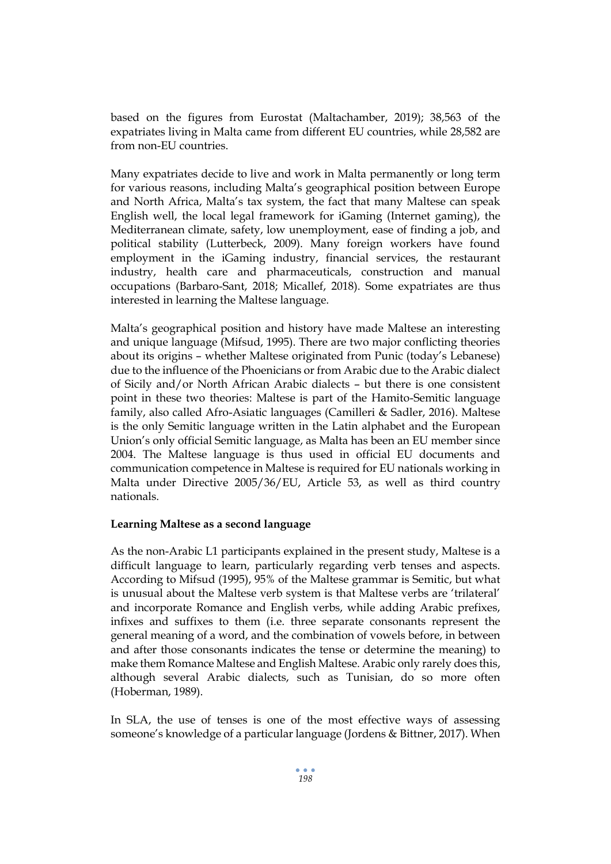based on the figures from Eurostat (Maltachamber, 2019); 38,563 of the expatriates living in Malta came from different EU countries, while 28,582 are from non-EU countries.

Many expatriates decide to live and work in Malta permanently or long term for various reasons, including Malta's geographical position between Europe and North Africa, Malta's tax system, the fact that many Maltese can speak English well, the local legal framework for iGaming (Internet gaming), the Mediterranean climate, safety, low unemployment, ease of finding a job, and political stability (Lutterbeck, 2009). Many foreign workers have found employment in the iGaming industry, financial services, the restaurant industry, health care and pharmaceuticals, construction and manual occupations (Barbaro-Sant, 2018; Micallef, 2018). Some expatriates are thus interested in learning the Maltese language.

Malta's geographical position and history have made Maltese an interesting and unique language (Mifsud, 1995). There are two major conflicting theories about its origins – whether Maltese originated from Punic (today's Lebanese) due to the influence of the Phoenicians or from Arabic due to the Arabic dialect of Sicily and/or North African Arabic dialects – but there is one consistent point in these two theories: Maltese is part of the Hamito-Semitic language family, also called Afro-Asiatic languages (Camilleri & Sadler, 2016). Maltese is the only Semitic language written in the Latin alphabet and the European Union's only official Semitic language, as Malta has been an EU member since 2004. The Maltese language is thus used in official EU documents and communication competence in Maltese is required for EU nationals working in Malta under Directive 2005/36/EU, Article 53, as well as third country nationals.

## **Learning Maltese as a second language**

As the non-Arabic L1 participants explained in the present study, Maltese is a difficult language to learn, particularly regarding verb tenses and aspects. According to Mifsud (1995), 95% of the Maltese grammar is Semitic, but what is unusual about the Maltese verb system is that Maltese verbs are 'trilateral' and incorporate Romance and English verbs, while adding Arabic prefixes, infixes and suffixes to them (i.e. three separate consonants represent the general meaning of a word, and the combination of vowels before, in between and after those consonants indicates the tense or determine the meaning) to make them Romance Maltese and English Maltese. Arabic only rarely does this, although several Arabic dialects, such as Tunisian, do so more often (Hoberman, 1989).

In SLA, the use of tenses is one of the most effective ways of assessing someone's knowledge of a particular language (Jordens & Bittner, 2017). When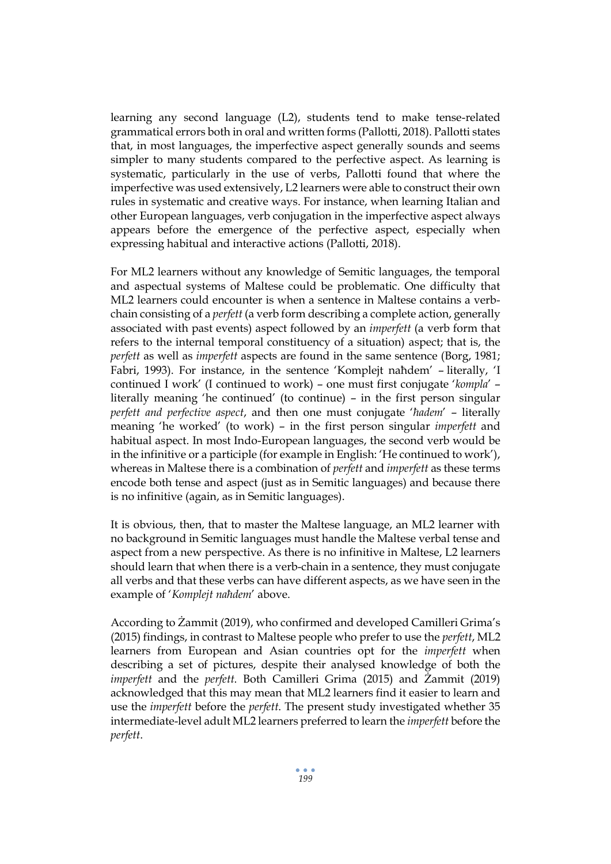learning any second language (L2), students tend to make tense-related grammatical errors both in oral and written forms (Pallotti, 2018). Pallotti states that, in most languages, the imperfective aspect generally sounds and seems simpler to many students compared to the perfective aspect. As learning is systematic, particularly in the use of verbs, Pallotti found that where the imperfective was used extensively, L2 learners were able to construct their own rules in systematic and creative ways. For instance, when learning Italian and other European languages, verb conjugation in the imperfective aspect always appears before the emergence of the perfective aspect, especially when expressing habitual and interactive actions (Pallotti, 2018).

For ML2 learners without any knowledge of Semitic languages, the temporal and aspectual systems of Maltese could be problematic. One difficulty that ML2 learners could encounter is when a sentence in Maltese contains a verbchain consisting of a *perfett* (a verb form describing a complete action, generally associated with past events) aspect followed by an *imperfett* (a verb form that refers to the internal temporal constituency of a situation) aspect; that is, the *perfett* as well as *imperfett* aspects are found in the same sentence (Borg, 1981; Fabri, 1993). For instance, in the sentence 'Komplejt naħdem' – literally, 'I continued I work' (I continued to work) – one must first conjugate '*kompla*' – literally meaning 'he continued' (to continue) – in the first person singular *perfett and perfective aspect*, and then one must conjugate '*ħadem*' – literally meaning 'he worked' (to work) – in the first person singular *imperfett* and habitual aspect. In most Indo-European languages, the second verb would be in the infinitive or a participle (for example in English: 'He continued to work'), whereas in Maltese there is a combination of *perfett* and *imperfett* as these terms encode both tense and aspect (just as in Semitic languages) and because there is no infinitive (again, as in Semitic languages).

It is obvious, then, that to master the Maltese language, an ML2 learner with no background in Semitic languages must handle the Maltese verbal tense and aspect from a new perspective. As there is no infinitive in Maltese, L2 learners should learn that when there is a verb-chain in a sentence, they must conjugate all verbs and that these verbs can have different aspects, as we have seen in the example of '*Komplejt naħdem*' above.

According to Żammit (2019), who confirmed and developed Camilleri Grima's (2015) findings, in contrast to Maltese people who prefer to use the *perfett*, ML2 learners from European and Asian countries opt for the *imperfett* when describing a set of pictures, despite their analysed knowledge of both the *imperfett* and the *perfett*. Both Camilleri Grima (2015) and Żammit (2019) acknowledged that this may mean that ML2 learners find it easier to learn and use the *imperfett* before the *perfett*. The present study investigated whether 35 intermediate-level adult ML2 learners preferred to learn the *imperfett* before the *perfett*.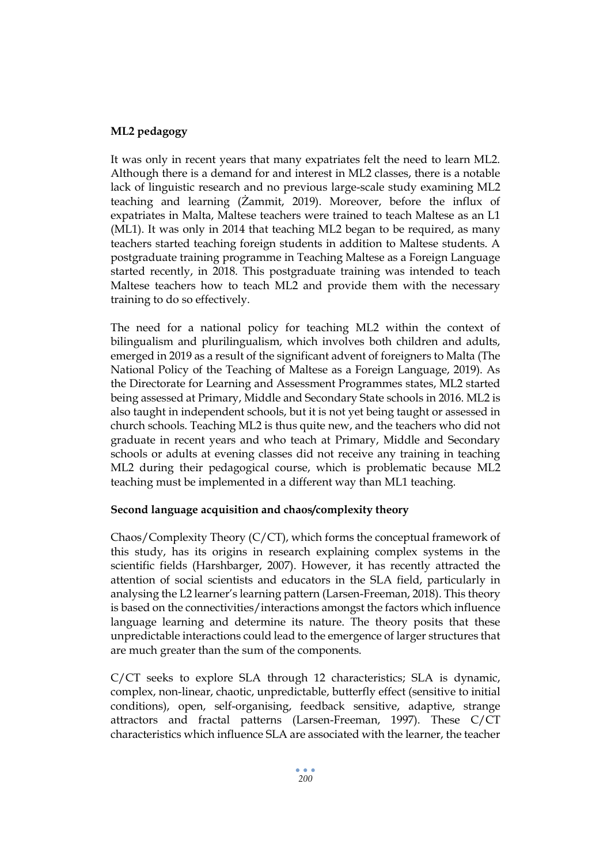## **ML2 pedagogy**

It was only in recent years that many expatriates felt the need to learn ML2. Although there is a demand for and interest in ML2 classes, there is a notable lack of linguistic research and no previous large-scale study examining ML2 teaching and learning (Żammit, 2019). Moreover, before the influx of expatriates in Malta, Maltese teachers were trained to teach Maltese as an L1 (ML1). It was only in 2014 that teaching ML2 began to be required, as many teachers started teaching foreign students in addition to Maltese students. A postgraduate training programme in Teaching Maltese as a Foreign Language started recently, in 2018. This postgraduate training was intended to teach Maltese teachers how to teach ML2 and provide them with the necessary training to do so effectively.

The need for a national policy for teaching ML2 within the context of bilingualism and plurilingualism, which involves both children and adults, emerged in 2019 as a result of the significant advent of foreigners to Malta (The National Policy of the Teaching of Maltese as a Foreign Language, 2019). As the Directorate for Learning and Assessment Programmes states, ML2 started being assessed at Primary, Middle and Secondary State schools in 2016. ML2 is also taught in independent schools, but it is not yet being taught or assessed in church schools. Teaching ML2 is thus quite new, and the teachers who did not graduate in recent years and who teach at Primary, Middle and Secondary schools or adults at evening classes did not receive any training in teaching ML2 during their pedagogical course, which is problematic because ML2 teaching must be implemented in a different way than ML1 teaching.

## **Second language acquisition and chaos/complexity theory**

Chaos/Complexity Theory (C/CT), which forms the conceptual framework of this study, has its origins in research explaining complex systems in the scientific fields (Harshbarger, 2007). However, it has recently attracted the attention of social scientists and educators in the SLA field, particularly in analysing the L2 learner's learning pattern (Larsen-Freeman, 2018). This theory is based on the connectivities/interactions amongst the factors which influence language learning and determine its nature. The theory posits that these unpredictable interactions could lead to the emergence of larger structures that are much greater than the sum of the components.

C/CT seeks to explore SLA through 12 characteristics; SLA is dynamic, complex, non-linear, chaotic, unpredictable, butterfly effect (sensitive to initial conditions), open, self-organising, feedback sensitive, adaptive, strange attractors and fractal patterns (Larsen-Freeman, 1997). These C/CT characteristics which influence SLA are associated with the learner, the teacher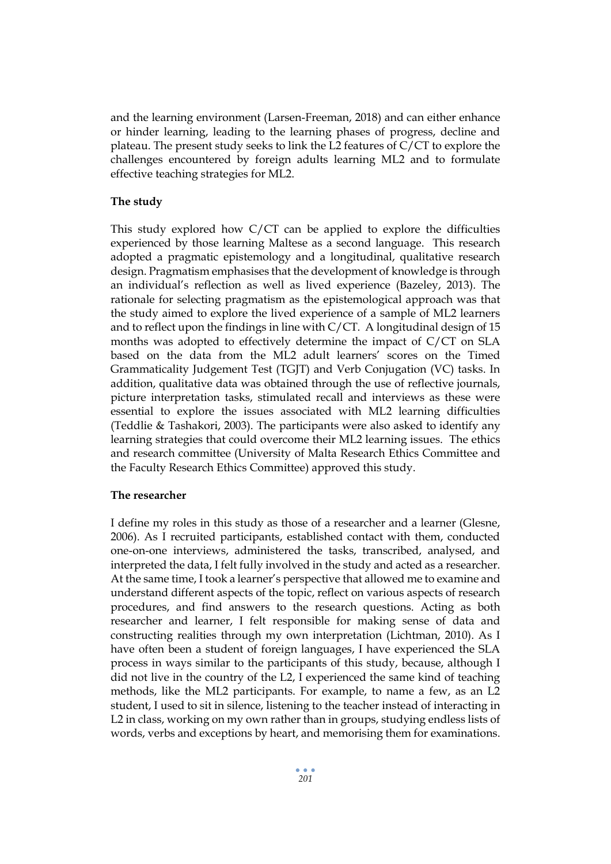and the learning environment (Larsen-Freeman, 2018) and can either enhance or hinder learning, leading to the learning phases of progress, decline and plateau. The present study seeks to link the L2 features of C/CT to explore the challenges encountered by foreign adults learning ML2 and to formulate effective teaching strategies for ML2.

## **The study**

This study explored how C/CT can be applied to explore the difficulties experienced by those learning Maltese as a second language. This research adopted a pragmatic epistemology and a longitudinal, qualitative research design. Pragmatism emphasises that the development of knowledge is through an individual's reflection as well as lived experience (Bazeley, 2013). The rationale for selecting pragmatism as the epistemological approach was that the study aimed to explore the lived experience of a sample of ML2 learners and to reflect upon the findings in line with C/CT. A longitudinal design of 15 months was adopted to effectively determine the impact of C/CT on SLA based on the data from the ML2 adult learners' scores on the Timed Grammaticality Judgement Test (TGJT) and Verb Conjugation (VC) tasks. In addition, qualitative data was obtained through the use of reflective journals, picture interpretation tasks, stimulated recall and interviews as these were essential to explore the issues associated with ML2 learning difficulties (Teddlie & Tashakori, 2003). The participants were also asked to identify any learning strategies that could overcome their ML2 learning issues. The ethics and research committee (University of Malta Research Ethics Committee and the Faculty Research Ethics Committee) approved this study.

## **The researcher**

I define my roles in this study as those of a researcher and a learner (Glesne, 2006). As I recruited participants, established contact with them, conducted one-on-one interviews, administered the tasks, transcribed, analysed, and interpreted the data, I felt fully involved in the study and acted as a researcher. At the same time, I took a learner's perspective that allowed me to examine and understand different aspects of the topic, reflect on various aspects of research procedures, and find answers to the research questions. Acting as both researcher and learner, I felt responsible for making sense of data and constructing realities through my own interpretation (Lichtman, 2010). As I have often been a student of foreign languages, I have experienced the SLA process in ways similar to the participants of this study, because, although I did not live in the country of the L2, I experienced the same kind of teaching methods, like the ML2 participants. For example, to name a few, as an L2 student, I used to sit in silence, listening to the teacher instead of interacting in L2 in class, working on my own rather than in groups, studying endless lists of words, verbs and exceptions by heart, and memorising them for examinations.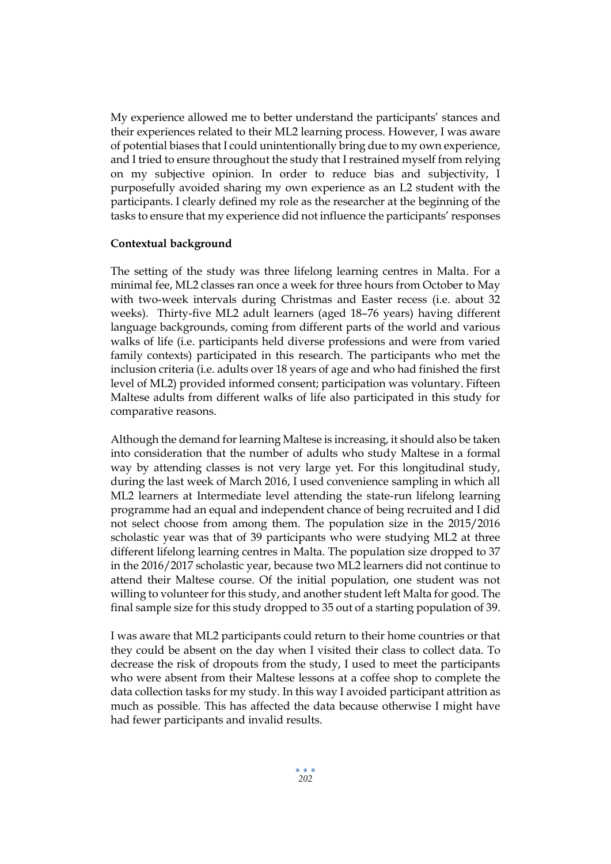My experience allowed me to better understand the participants' stances and their experiences related to their ML2 learning process. However, I was aware of potential biases that I could unintentionally bring due to my own experience, and I tried to ensure throughout the study that I restrained myself from relying on my subjective opinion. In order to reduce bias and subjectivity, I purposefully avoided sharing my own experience as an L2 student with the participants. I clearly defined my role as the researcher at the beginning of the tasks to ensure that my experience did not influence the participants' responses

#### **Contextual background**

The setting of the study was three lifelong learning centres in Malta. For a minimal fee, ML2 classes ran once a week for three hours from October to May with two-week intervals during Christmas and Easter recess (i.e. about 32 weeks). Thirty-five ML2 adult learners (aged 18–76 years) having different language backgrounds, coming from different parts of the world and various walks of life (i.e. participants held diverse professions and were from varied family contexts) participated in this research. The participants who met the inclusion criteria (i.e. adults over 18 years of age and who had finished the first level of ML2) provided informed consent; participation was voluntary. Fifteen Maltese adults from different walks of life also participated in this study for comparative reasons.

Although the demand for learning Maltese is increasing, it should also be taken into consideration that the number of adults who study Maltese in a formal way by attending classes is not very large yet. For this longitudinal study, during the last week of March 2016, I used convenience sampling in which all ML2 learners at Intermediate level attending the state-run lifelong learning programme had an equal and independent chance of being recruited and I did not select choose from among them. The population size in the 2015/2016 scholastic year was that of 39 participants who were studying ML2 at three different lifelong learning centres in Malta. The population size dropped to 37 in the 2016/2017 scholastic year, because two ML2 learners did not continue to attend their Maltese course. Of the initial population, one student was not willing to volunteer for this study, and another student left Malta for good. The final sample size for this study dropped to 35 out of a starting population of 39.

I was aware that ML2 participants could return to their home countries or that they could be absent on the day when I visited their class to collect data. To decrease the risk of dropouts from the study, I used to meet the participants who were absent from their Maltese lessons at a coffee shop to complete the data collection tasks for my study. In this way I avoided participant attrition as much as possible. This has affected the data because otherwise I might have had fewer participants and invalid results.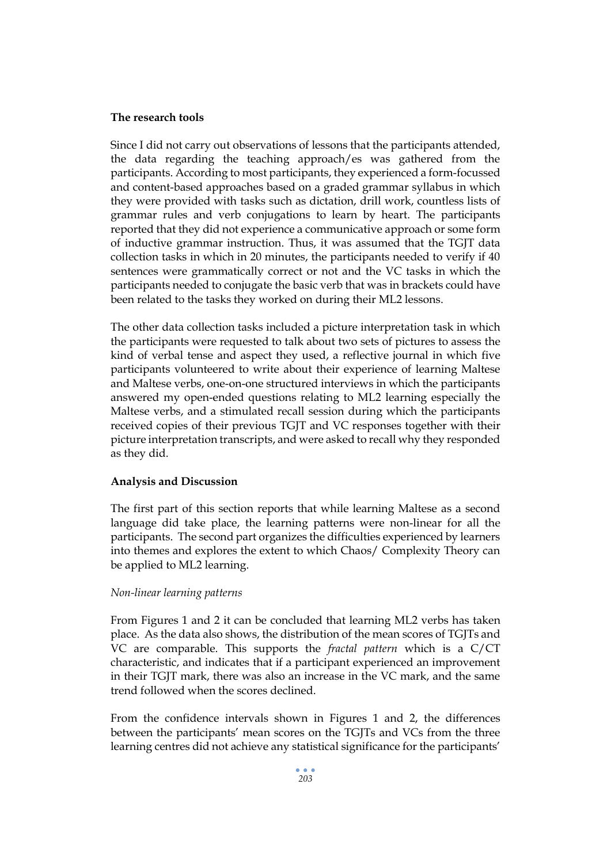#### **The research tools**

Since I did not carry out observations of lessons that the participants attended, the data regarding the teaching approach/es was gathered from the participants. According to most participants, they experienced a form-focussed and content-based approaches based on a graded grammar syllabus in which they were provided with tasks such as dictation, drill work, countless lists of grammar rules and verb conjugations to learn by heart. The participants reported that they did not experience a communicative approach or some form of inductive grammar instruction. Thus, it was assumed that the TGJT data collection tasks in which in 20 minutes, the participants needed to verify if 40 sentences were grammatically correct or not and the VC tasks in which the participants needed to conjugate the basic verb that was in brackets could have been related to the tasks they worked on during their ML2 lessons.

The other data collection tasks included a picture interpretation task in which the participants were requested to talk about two sets of pictures to assess the kind of verbal tense and aspect they used, a reflective journal in which five participants volunteered to write about their experience of learning Maltese and Maltese verbs, one-on-one structured interviews in which the participants answered my open-ended questions relating to ML2 learning especially the Maltese verbs, and a stimulated recall session during which the participants received copies of their previous TGJT and VC responses together with their picture interpretation transcripts, and were asked to recall why they responded as they did.

## **Analysis and Discussion**

The first part of this section reports that while learning Maltese as a second language did take place, the learning patterns were non-linear for all the participants. The second part organizes the difficulties experienced by learners into themes and explores the extent to which Chaos/ Complexity Theory can be applied to ML2 learning.

#### *Non-linear learning patterns*

From Figures 1 and 2 it can be concluded that learning ML2 verbs has taken place. As the data also shows, the distribution of the mean scores of TGJTs and VC are comparable. This supports the *fractal pattern* which is a C/CT characteristic, and indicates that if a participant experienced an improvement in their TGJT mark, there was also an increase in the VC mark, and the same trend followed when the scores declined.

From the confidence intervals shown in Figures 1 and 2, the differences between the participants' mean scores on the TGJTs and VCs from the three learning centres did not achieve any statistical significance for the participants'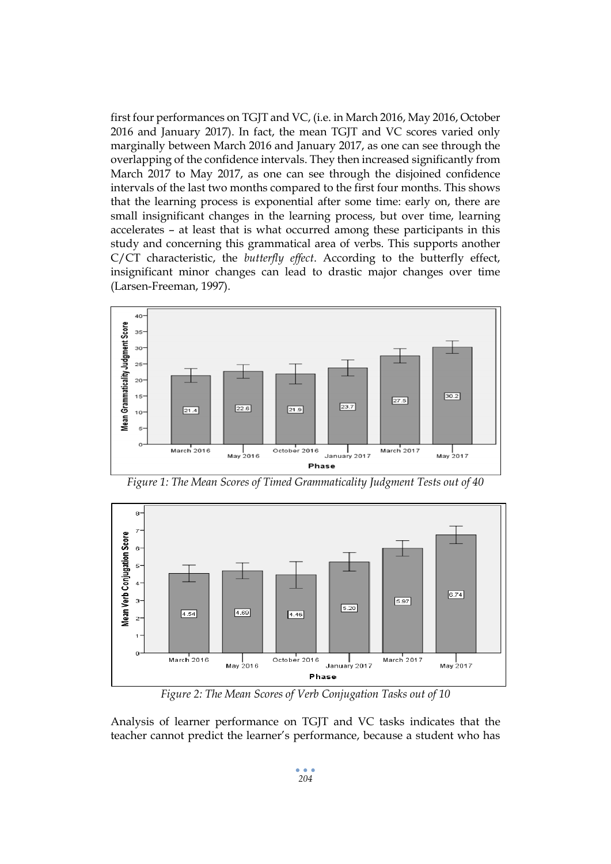first four performances on TGJT and VC, (i.e. in March 2016, May 2016, October 2016 and January 2017). In fact, the mean TGJT and VC scores varied only marginally between March 2016 and January 2017, as one can see through the overlapping of the confidence intervals. They then increased significantly from March 2017 to May 2017, as one can see through the disjoined confidence intervals of the last two months compared to the first four months. This shows that the learning process is exponential after some time: early on, there are small insignificant changes in the learning process, but over time, learning accelerates – at least that is what occurred among these participants in this study and concerning this grammatical area of verbs. This supports another C/CT characteristic, the *butterfly effect*. According to the butterfly effect, insignificant minor changes can lead to drastic major changes over time (Larsen-Freeman, 1997).



 $\overline{8}$ Mean Verb Conjugation Score 6  $\overline{5}$  $6.74$  $\mathbf{3}^{\mathbf{1}}$ 5.97  $5.20$  $\boxed{4.54}$  $4.69$  $4.46$  $\overline{z}$  $\mathbf{1}$  $\circ$ March 2016 October 2016 March 2017 ا<br>May 2016 January 2017 May 2017 Phase

*Figure 1: The Mean Scores of Timed Grammaticality Judgment Tests out of 40*

*Figure 2: The Mean Scores of Verb Conjugation Tasks out of 10*

Analysis of learner performance on TGJT and VC tasks indicates that the teacher cannot predict the learner's performance, because a student who has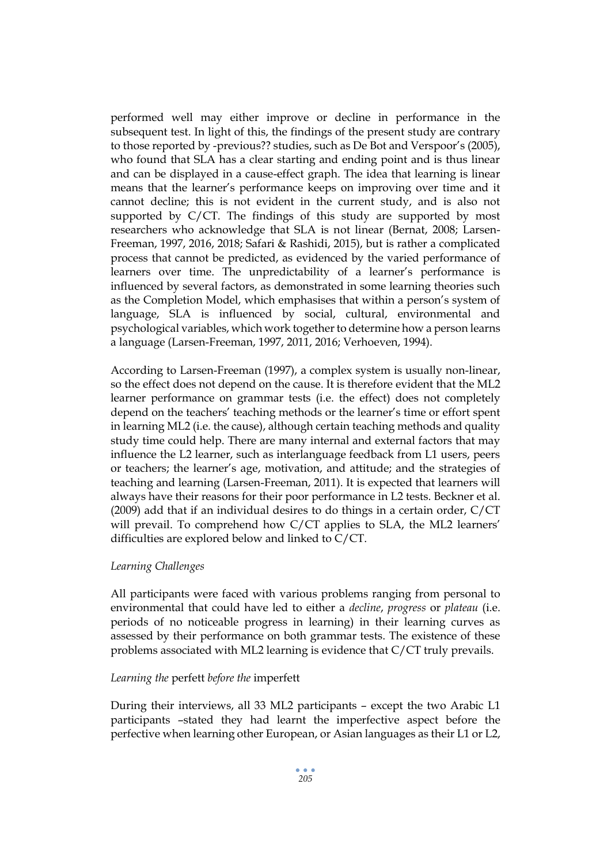performed well may either improve or decline in performance in the subsequent test. In light of this, the findings of the present study are contrary to those reported by -previous?? studies, such as De Bot and Verspoor's (2005), who found that SLA has a clear starting and ending point and is thus linear and can be displayed in a cause-effect graph. The idea that learning is linear means that the learner's performance keeps on improving over time and it cannot decline; this is not evident in the current study, and is also not supported by C/CT. The findings of this study are supported by most researchers who acknowledge that SLA is not linear (Bernat, 2008; Larsen-Freeman, 1997, 2016, 2018; Safari & Rashidi, 2015), but is rather a complicated process that cannot be predicted, as evidenced by the varied performance of learners over time. The unpredictability of a learner's performance is influenced by several factors, as demonstrated in some learning theories such as the Completion Model, which emphasises that within a person's system of language, SLA is influenced by social, cultural, environmental and psychological variables, which work together to determine how a person learns a language (Larsen-Freeman, 1997, 2011, 2016; Verhoeven, 1994).

According to Larsen-Freeman (1997), a complex system is usually non-linear, so the effect does not depend on the cause. It is therefore evident that the ML2 learner performance on grammar tests (i.e. the effect) does not completely depend on the teachers' teaching methods or the learner's time or effort spent in learning ML2 (i.e. the cause), although certain teaching methods and quality study time could help. There are many internal and external factors that may influence the L2 learner, such as interlanguage feedback from L1 users, peers or teachers; the learner's age, motivation, and attitude; and the strategies of teaching and learning (Larsen-Freeman, 2011). It is expected that learners will always have their reasons for their poor performance in L2 tests. Beckner et al. (2009) add that if an individual desires to do things in a certain order, C/CT will prevail. To comprehend how C/CT applies to SLA, the ML2 learners' difficulties are explored below and linked to C/CT.

#### *Learning Challenges*

All participants were faced with various problems ranging from personal to environmental that could have led to either a *decline*, *progress* or *plateau* (i.e. periods of no noticeable progress in learning) in their learning curves as assessed by their performance on both grammar tests. The existence of these problems associated with ML2 learning is evidence that C/CT truly prevails.

#### *Learning the* perfett *before the* imperfett

During their interviews, all 33 ML2 participants – except the two Arabic L1 participants –stated they had learnt the imperfective aspect before the perfective when learning other European, or Asian languages as their L1 or L2,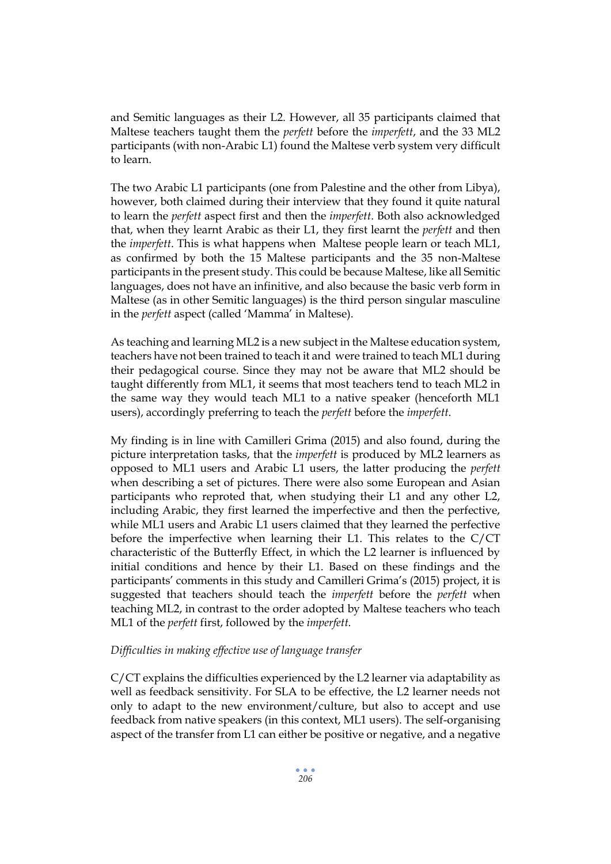and Semitic languages as their L2. However, all 35 participants claimed that Maltese teachers taught them the *perfett* before the *imperfett*, and the 33 ML2 participants (with non-Arabic L1) found the Maltese verb system very difficult to learn.

The two Arabic L1 participants (one from Palestine and the other from Libya), however, both claimed during their interview that they found it quite natural to learn the *perfett* aspect first and then the *imperfett*. Both also acknowledged that, when they learnt Arabic as their L1, they first learnt the *perfett* and then the *imperfett*. This is what happens when Maltese people learn or teach ML1, as confirmed by both the 15 Maltese participants and the 35 non-Maltese participants in the present study. This could be because Maltese, like all Semitic languages, does not have an infinitive, and also because the basic verb form in Maltese (as in other Semitic languages) is the third person singular masculine in the *perfett* aspect (called 'Mamma' in Maltese).

As teaching and learning ML2 is a new subject in the Maltese education system, teachers have not been trained to teach it and were trained to teach ML1 during their pedagogical course. Since they may not be aware that ML2 should be taught differently from ML1, it seems that most teachers tend to teach ML2 in the same way they would teach ML1 to a native speaker (henceforth ML1 users), accordingly preferring to teach the *perfett* before the *imperfett*.

My finding is in line with Camilleri Grima (2015) and also found, during the picture interpretation tasks, that the *imperfett* is produced by ML2 learners as opposed to ML1 users and Arabic L1 users, the latter producing the *perfett* when describing a set of pictures. There were also some European and Asian participants who reproted that, when studying their L1 and any other L2, including Arabic, they first learned the imperfective and then the perfective, while ML1 users and Arabic L1 users claimed that they learned the perfective before the imperfective when learning their L1. This relates to the C/CT characteristic of the Butterfly Effect, in which the L2 learner is influenced by initial conditions and hence by their L1. Based on these findings and the participants' comments in this study and Camilleri Grima's (2015) project, it is suggested that teachers should teach the *imperfett* before the *perfett* when teaching ML2, in contrast to the order adopted by Maltese teachers who teach ML1 of the *perfett* first, followed by the *imperfett*.

## *Difficulties in making effective use of language transfer*

C/CT explains the difficulties experienced by the L2 learner via adaptability as well as feedback sensitivity. For SLA to be effective, the L2 learner needs not only to adapt to the new environment/culture, but also to accept and use feedback from native speakers (in this context, ML1 users). The self-organising aspect of the transfer from L1 can either be positive or negative, and a negative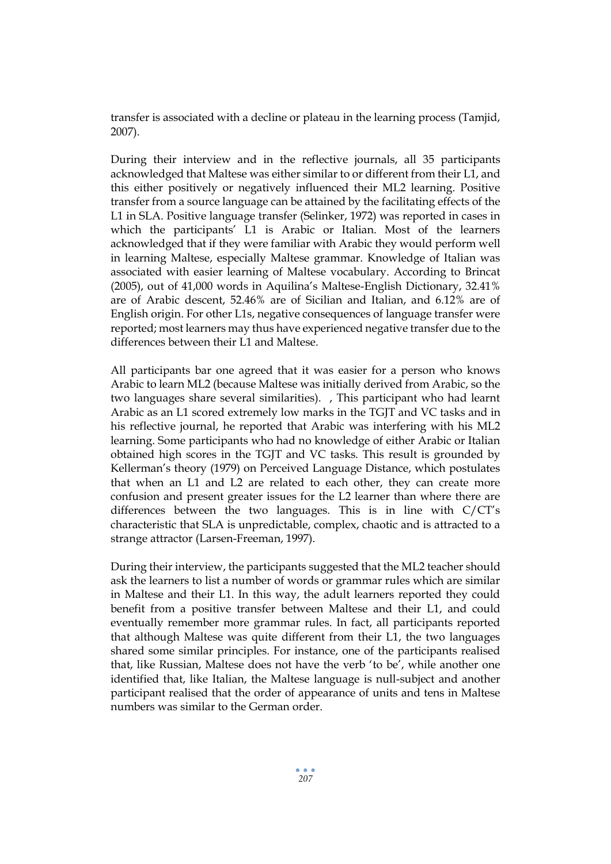transfer is associated with a decline or plateau in the learning process (Tamjid, 2007).

During their interview and in the reflective journals, all 35 participants acknowledged that Maltese was either similar to or different from their L1, and this either positively or negatively influenced their ML2 learning. Positive transfer from a source language can be attained by the facilitating effects of the L1 in SLA. Positive language transfer (Selinker, 1972) was reported in cases in which the participants' L1 is Arabic or Italian. Most of the learners acknowledged that if they were familiar with Arabic they would perform well in learning Maltese, especially Maltese grammar. Knowledge of Italian was associated with easier learning of Maltese vocabulary. According to Brincat (2005), out of 41,000 words in Aquilina's Maltese-English Dictionary, 32.41% are of Arabic descent, 52.46% are of Sicilian and Italian, and 6.12% are of English origin. For other L1s, negative consequences of language transfer were reported; most learners may thus have experienced negative transfer due to the differences between their L1 and Maltese.

All participants bar one agreed that it was easier for a person who knows Arabic to learn ML2 (because Maltese was initially derived from Arabic, so the two languages share several similarities). , This participant who had learnt Arabic as an L1 scored extremely low marks in the TGJT and VC tasks and in his reflective journal, he reported that Arabic was interfering with his ML2 learning. Some participants who had no knowledge of either Arabic or Italian obtained high scores in the TGJT and VC tasks. This result is grounded by Kellerman's theory (1979) on Perceived Language Distance, which postulates that when an L1 and L2 are related to each other, they can create more confusion and present greater issues for the L2 learner than where there are differences between the two languages. This is in line with C/CT's characteristic that SLA is unpredictable, complex, chaotic and is attracted to a strange attractor (Larsen-Freeman, 1997).

During their interview, the participants suggested that the ML2 teacher should ask the learners to list a number of words or grammar rules which are similar in Maltese and their L1. In this way, the adult learners reported they could benefit from a positive transfer between Maltese and their L1, and could eventually remember more grammar rules. In fact, all participants reported that although Maltese was quite different from their L1, the two languages shared some similar principles. For instance, one of the participants realised that, like Russian, Maltese does not have the verb 'to be', while another one identified that, like Italian, the Maltese language is null-subject and another participant realised that the order of appearance of units and tens in Maltese numbers was similar to the German order.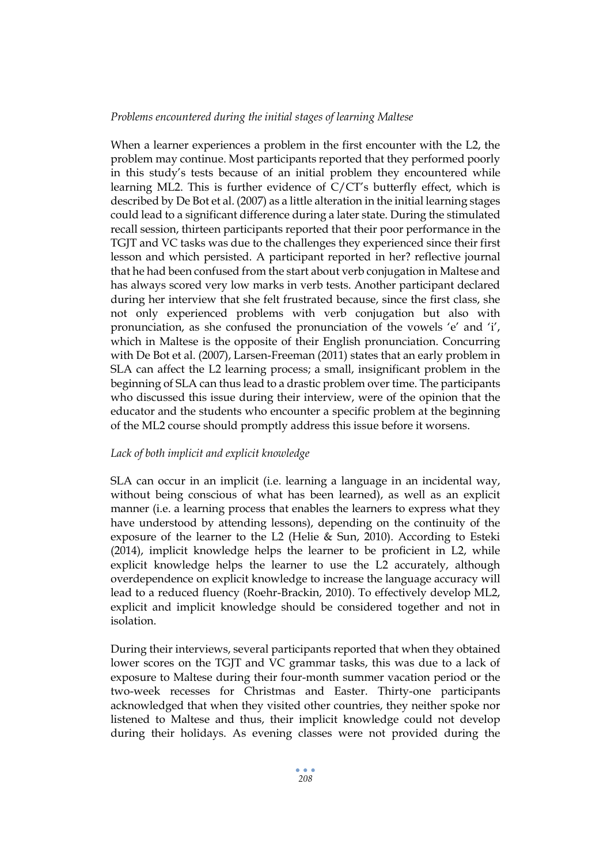#### *Problems encountered during the initial stages of learning Maltese*

When a learner experiences a problem in the first encounter with the L2, the problem may continue. Most participants reported that they performed poorly in this study's tests because of an initial problem they encountered while learning ML2. This is further evidence of C/CT's butterfly effect, which is described by De Bot et al. (2007) as a little alteration in the initial learning stages could lead to a significant difference during a later state. During the stimulated recall session, thirteen participants reported that their poor performance in the TGJT and VC tasks was due to the challenges they experienced since their first lesson and which persisted. A participant reported in her? reflective journal that he had been confused from the start about verb conjugation in Maltese and has always scored very low marks in verb tests. Another participant declared during her interview that she felt frustrated because, since the first class, she not only experienced problems with verb conjugation but also with pronunciation, as she confused the pronunciation of the vowels 'e' and 'i', which in Maltese is the opposite of their English pronunciation. Concurring with De Bot et al. (2007), Larsen-Freeman (2011) states that an early problem in SLA can affect the L2 learning process; a small, insignificant problem in the beginning of SLA can thus lead to a drastic problem over time. The participants who discussed this issue during their interview, were of the opinion that the educator and the students who encounter a specific problem at the beginning of the ML2 course should promptly address this issue before it worsens.

#### *Lack of both implicit and explicit knowledge*

SLA can occur in an implicit (i.e. learning a language in an incidental way, without being conscious of what has been learned), as well as an explicit manner (i.e. a learning process that enables the learners to express what they have understood by attending lessons), depending on the continuity of the exposure of the learner to the L2 (Helie & Sun, 2010). According to Esteki (2014), implicit knowledge helps the learner to be proficient in L2, while explicit knowledge helps the learner to use the L2 accurately, although overdependence on explicit knowledge to increase the language accuracy will lead to a reduced fluency (Roehr-Brackin, 2010). To effectively develop ML2, explicit and implicit knowledge should be considered together and not in isolation.

During their interviews, several participants reported that when they obtained lower scores on the TGJT and VC grammar tasks, this was due to a lack of exposure to Maltese during their four-month summer vacation period or the two-week recesses for Christmas and Easter. Thirty-one participants acknowledged that when they visited other countries, they neither spoke nor listened to Maltese and thus, their implicit knowledge could not develop during their holidays. As evening classes were not provided during the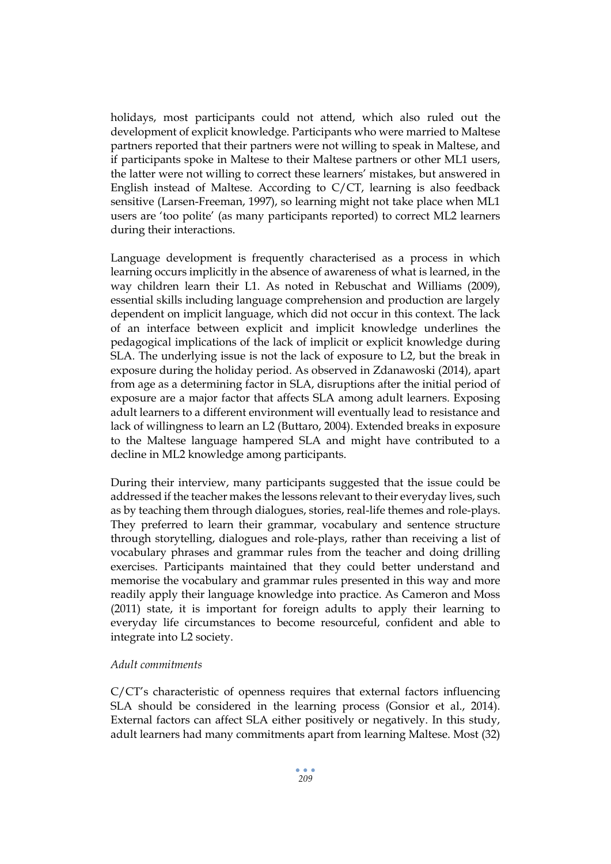holidays, most participants could not attend, which also ruled out the development of explicit knowledge. Participants who were married to Maltese partners reported that their partners were not willing to speak in Maltese, and if participants spoke in Maltese to their Maltese partners or other ML1 users, the latter were not willing to correct these learners' mistakes, but answered in English instead of Maltese. According to C/CT, learning is also feedback sensitive (Larsen-Freeman, 1997), so learning might not take place when ML1 users are 'too polite' (as many participants reported) to correct ML2 learners during their interactions.

Language development is frequently characterised as a process in which learning occurs implicitly in the absence of awareness of what is learned, in the way children learn their L1. As noted in Rebuschat and Williams (2009), essential skills including language comprehension and production are largely dependent on implicit language, which did not occur in this context. The lack of an interface between explicit and implicit knowledge underlines the pedagogical implications of the lack of implicit or explicit knowledge during SLA. The underlying issue is not the lack of exposure to L2, but the break in exposure during the holiday period. As observed in Zdanawoski (2014), apart from age as a determining factor in SLA, disruptions after the initial period of exposure are a major factor that affects SLA among adult learners. Exposing adult learners to a different environment will eventually lead to resistance and lack of willingness to learn an L2 (Buttaro, 2004). Extended breaks in exposure to the Maltese language hampered SLA and might have contributed to a decline in ML2 knowledge among participants.

During their interview, many participants suggested that the issue could be addressed if the teacher makes the lessons relevant to their everyday lives, such as by teaching them through dialogues, stories, real-life themes and role-plays. They preferred to learn their grammar, vocabulary and sentence structure through storytelling, dialogues and role-plays, rather than receiving a list of vocabulary phrases and grammar rules from the teacher and doing drilling exercises. Participants maintained that they could better understand and memorise the vocabulary and grammar rules presented in this way and more readily apply their language knowledge into practice. As Cameron and Moss (2011) state, it is important for foreign adults to apply their learning to everyday life circumstances to become resourceful, confident and able to integrate into L2 society.

## *Adult commitments*

C/CT's characteristic of openness requires that external factors influencing SLA should be considered in the learning process (Gonsior et al., 2014). External factors can affect SLA either positively or negatively. In this study, adult learners had many commitments apart from learning Maltese. Most (32)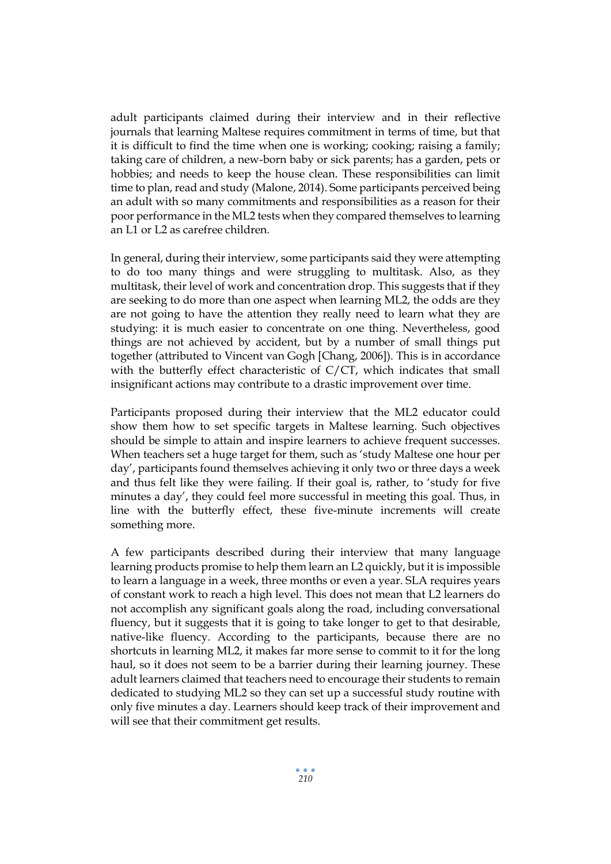adult participants claimed during their interview and in their reflective journals that learning Maltese requires commitment in terms of time, but that it is difficult to find the time when one is working; cooking; raising a family; taking care of children, a new-born baby or sick parents; has a garden, pets or hobbies; and needs to keep the house clean. These responsibilities can limit time to plan, read and study (Malone, 2014). Some participants perceived being an adult with so many commitments and responsibilities as a reason for their poor performance in the ML2 tests when they compared themselves to learning an L1 or L2 as carefree children.

In general, during their interview, some participants said they were attempting to do too many things and were struggling to multitask. Also, as they multitask, their level of work and concentration drop. This suggests that if they are seeking to do more than one aspect when learning ML2, the odds are they are not going to have the attention they really need to learn what they are studying: it is much easier to concentrate on one thing. Nevertheless, good things are not achieved by accident, but by a number of small things put together (attributed to Vincent van Gogh [Chang, 2006]). This is in accordance with the butterfly effect characteristic of C/CT, which indicates that small insignificant actions may contribute to a drastic improvement over time.

Participants proposed during their interview that the ML2 educator could show them how to set specific targets in Maltese learning. Such objectives should be simple to attain and inspire learners to achieve frequent successes. When teachers set a huge target for them, such as 'study Maltese one hour per day', participants found themselves achieving it only two or three days a week and thus felt like they were failing. If their goal is, rather, to 'study for five minutes a day', they could feel more successful in meeting this goal. Thus, in line with the butterfly effect, these five-minute increments will create something more.

A few participants described during their interview that many language learning products promise to help them learn an L2 quickly, but it is impossible to learn a language in a week, three months or even a year. SLA requires years of constant work to reach a high level. This does not mean that L2 learners do not accomplish any significant goals along the road, including conversational fluency, but it suggests that it is going to take longer to get to that desirable, native-like fluency. According to the participants, because there are no shortcuts in learning ML2, it makes far more sense to commit to it for the long haul, so it does not seem to be a barrier during their learning journey. These adult learners claimed that teachers need to encourage their students to remain dedicated to studying ML2 so they can set up a successful study routine with only five minutes a day. Learners should keep track of their improvement and will see that their commitment get results.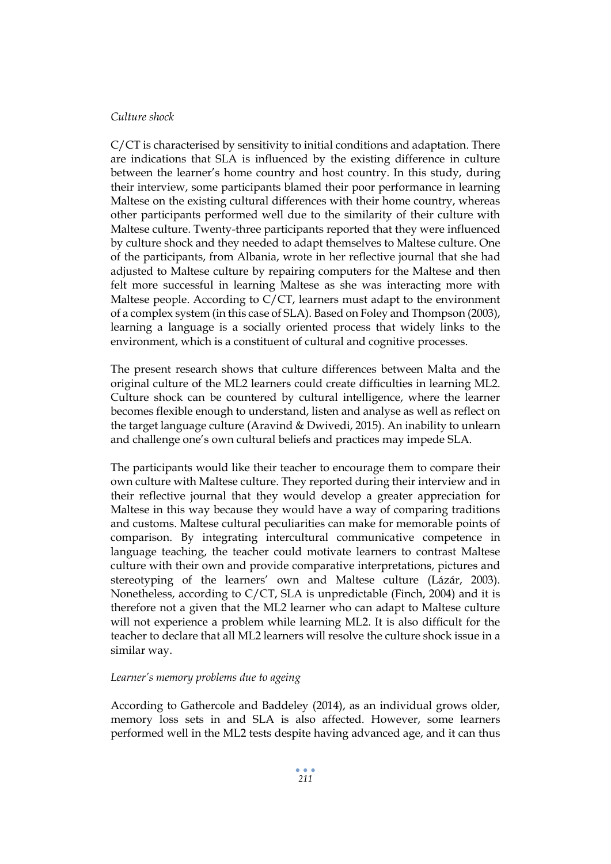## *Culture shock*

C/CT is characterised by sensitivity to initial conditions and adaptation. There are indications that SLA is influenced by the existing difference in culture between the learner's home country and host country. In this study, during their interview, some participants blamed their poor performance in learning Maltese on the existing cultural differences with their home country, whereas other participants performed well due to the similarity of their culture with Maltese culture. Twenty-three participants reported that they were influenced by culture shock and they needed to adapt themselves to Maltese culture. One of the participants, from Albania, wrote in her reflective journal that she had adjusted to Maltese culture by repairing computers for the Maltese and then felt more successful in learning Maltese as she was interacting more with Maltese people. According to C/CT, learners must adapt to the environment of a complex system (in this case of SLA). Based on Foley and Thompson (2003), learning a language is a socially oriented process that widely links to the environment, which is a constituent of cultural and cognitive processes.

The present research shows that culture differences between Malta and the original culture of the ML2 learners could create difficulties in learning ML2. Culture shock can be countered by cultural intelligence, where the learner becomes flexible enough to understand, listen and analyse as well as reflect on the target language culture (Aravind & Dwivedi, 2015). An inability to unlearn and challenge one's own cultural beliefs and practices may impede SLA.

The participants would like their teacher to encourage them to compare their own culture with Maltese culture. They reported during their interview and in their reflective journal that they would develop a greater appreciation for Maltese in this way because they would have a way of comparing traditions and customs. Maltese cultural peculiarities can make for memorable points of comparison. By integrating intercultural communicative competence in language teaching, the teacher could motivate learners to contrast Maltese culture with their own and provide comparative interpretations, pictures and stereotyping of the learners' own and Maltese culture (Lázár, 2003). Nonetheless, according to C/CT, SLA is unpredictable (Finch, 2004) and it is therefore not a given that the ML2 learner who can adapt to Maltese culture will not experience a problem while learning ML2. It is also difficult for the teacher to declare that all ML2 learners will resolve the culture shock issue in a similar way.

#### *Learner's memory problems due to ageing*

According to Gathercole and Baddeley (2014), as an individual grows older, memory loss sets in and SLA is also affected. However, some learners performed well in the ML2 tests despite having advanced age, and it can thus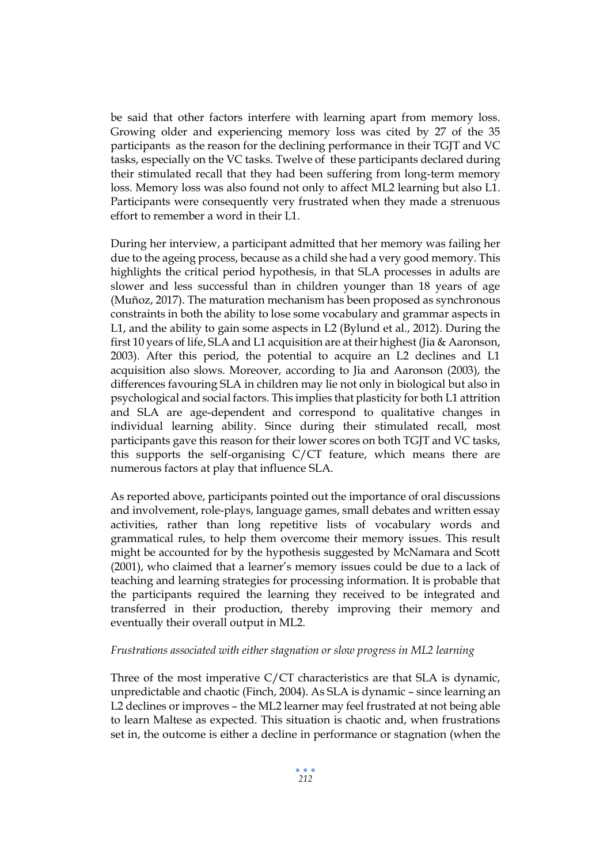be said that other factors interfere with learning apart from memory loss. Growing older and experiencing memory loss was cited by 27 of the 35 participants as the reason for the declining performance in their TGJT and VC tasks, especially on the VC tasks. Twelve of these participants declared during their stimulated recall that they had been suffering from long-term memory loss. Memory loss was also found not only to affect ML2 learning but also L1. Participants were consequently very frustrated when they made a strenuous effort to remember a word in their L1.

During her interview, a participant admitted that her memory was failing her due to the ageing process, because as a child she had a very good memory. This highlights the critical period hypothesis, in that SLA processes in adults are slower and less successful than in children younger than 18 years of age (Muñoz, 2017). The maturation mechanism has been proposed as synchronous constraints in both the ability to lose some vocabulary and grammar aspects in L1, and the ability to gain some aspects in L2 (Bylund et al., 2012). During the first 10 years of life, SLA and L1 acquisition are at their highest (Jia & Aaronson, 2003). After this period, the potential to acquire an L2 declines and L1 acquisition also slows. Moreover, according to Jia and Aaronson (2003), the differences favouring SLA in children may lie not only in biological but also in psychological and social factors. This implies that plasticity for both L1 attrition and SLA are age-dependent and correspond to qualitative changes in individual learning ability. Since during their stimulated recall, most participants gave this reason for their lower scores on both TGJT and VC tasks, this supports the self-organising C/CT feature, which means there are numerous factors at play that influence SLA.

As reported above, participants pointed out the importance of oral discussions and involvement, role-plays, language games, small debates and written essay activities, rather than long repetitive lists of vocabulary words and grammatical rules, to help them overcome their memory issues. This result might be accounted for by the hypothesis suggested by McNamara and Scott (2001), who claimed that a learner's memory issues could be due to a lack of teaching and learning strategies for processing information. It is probable that the participants required the learning they received to be integrated and transferred in their production, thereby improving their memory and eventually their overall output in ML2.

#### *Frustrations associated with either stagnation or slow progress in ML2 learning*

Three of the most imperative C/CT characteristics are that SLA is dynamic, unpredictable and chaotic (Finch, 2004). As SLA is dynamic – since learning an L2 declines or improves – the ML2 learner may feel frustrated at not being able to learn Maltese as expected. This situation is chaotic and, when frustrations set in, the outcome is either a decline in performance or stagnation (when the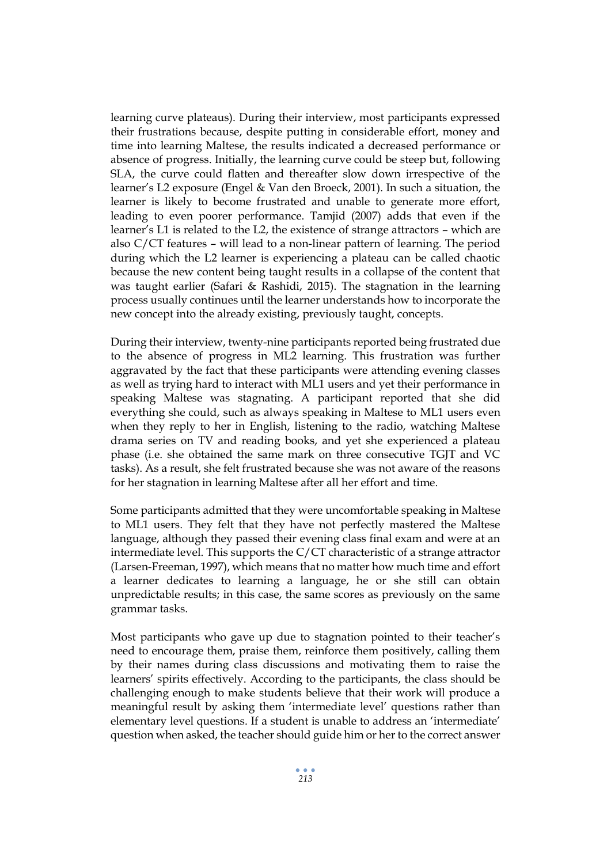learning curve plateaus). During their interview, most participants expressed their frustrations because, despite putting in considerable effort, money and time into learning Maltese, the results indicated a decreased performance or absence of progress. Initially, the learning curve could be steep but, following SLA, the curve could flatten and thereafter slow down irrespective of the learner's L2 exposure (Engel & Van den Broeck, 2001). In such a situation, the learner is likely to become frustrated and unable to generate more effort, leading to even poorer performance. Tamjid (2007) adds that even if the learner's L1 is related to the L2, the existence of strange attractors – which are also C/CT features – will lead to a non-linear pattern of learning. The period during which the L2 learner is experiencing a plateau can be called chaotic because the new content being taught results in a collapse of the content that was taught earlier (Safari & Rashidi, 2015). The stagnation in the learning process usually continues until the learner understands how to incorporate the new concept into the already existing, previously taught, concepts.

During their interview, twenty-nine participants reported being frustrated due to the absence of progress in ML2 learning. This frustration was further aggravated by the fact that these participants were attending evening classes as well as trying hard to interact with ML1 users and yet their performance in speaking Maltese was stagnating. A participant reported that she did everything she could, such as always speaking in Maltese to ML1 users even when they reply to her in English, listening to the radio, watching Maltese drama series on TV and reading books, and yet she experienced a plateau phase (i.e. she obtained the same mark on three consecutive TGJT and VC tasks). As a result, she felt frustrated because she was not aware of the reasons for her stagnation in learning Maltese after all her effort and time.

Some participants admitted that they were uncomfortable speaking in Maltese to ML1 users. They felt that they have not perfectly mastered the Maltese language, although they passed their evening class final exam and were at an intermediate level. This supports the C/CT characteristic of a strange attractor (Larsen-Freeman, 1997), which means that no matter how much time and effort a learner dedicates to learning a language, he or she still can obtain unpredictable results; in this case, the same scores as previously on the same grammar tasks.

Most participants who gave up due to stagnation pointed to their teacher's need to encourage them, praise them, reinforce them positively, calling them by their names during class discussions and motivating them to raise the learners' spirits effectively. According to the participants, the class should be challenging enough to make students believe that their work will produce a meaningful result by asking them 'intermediate level' questions rather than elementary level questions. If a student is unable to address an 'intermediate' question when asked, the teacher should guide him or her to the correct answer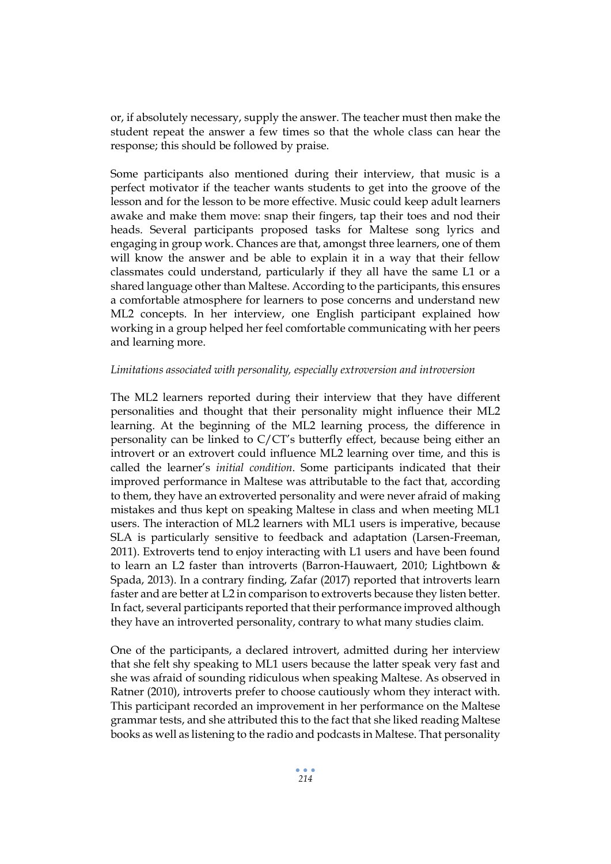or, if absolutely necessary, supply the answer. The teacher must then make the student repeat the answer a few times so that the whole class can hear the response; this should be followed by praise.

Some participants also mentioned during their interview, that music is a perfect motivator if the teacher wants students to get into the groove of the lesson and for the lesson to be more effective. Music could keep adult learners awake and make them move: snap their fingers, tap their toes and nod their heads. Several participants proposed tasks for Maltese song lyrics and engaging in group work. Chances are that, amongst three learners, one of them will know the answer and be able to explain it in a way that their fellow classmates could understand, particularly if they all have the same L1 or a shared language other than Maltese. According to the participants, this ensures a comfortable atmosphere for learners to pose concerns and understand new ML2 concepts. In her interview, one English participant explained how working in a group helped her feel comfortable communicating with her peers and learning more.

#### *Limitations associated with personality, especially extroversion and introversion*

The ML2 learners reported during their interview that they have different personalities and thought that their personality might influence their ML2 learning. At the beginning of the ML2 learning process, the difference in personality can be linked to C/CT's butterfly effect, because being either an introvert or an extrovert could influence ML2 learning over time, and this is called the learner's *initial condition*. Some participants indicated that their improved performance in Maltese was attributable to the fact that, according to them, they have an extroverted personality and were never afraid of making mistakes and thus kept on speaking Maltese in class and when meeting ML1 users. The interaction of ML2 learners with ML1 users is imperative, because SLA is particularly sensitive to feedback and adaptation (Larsen-Freeman, 2011). Extroverts tend to enjoy interacting with L1 users and have been found to learn an L2 faster than introverts (Barron-Hauwaert, 2010; Lightbown & Spada, 2013). In a contrary finding, Zafar (2017) reported that introverts learn faster and are better at L2 in comparison to extroverts because they listen better. In fact, several participants reported that their performance improved although they have an introverted personality, contrary to what many studies claim.

One of the participants, a declared introvert, admitted during her interview that she felt shy speaking to ML1 users because the latter speak very fast and she was afraid of sounding ridiculous when speaking Maltese. As observed in Ratner (2010), introverts prefer to choose cautiously whom they interact with. This participant recorded an improvement in her performance on the Maltese grammar tests, and she attributed this to the fact that she liked reading Maltese books as well as listening to the radio and podcasts in Maltese. That personality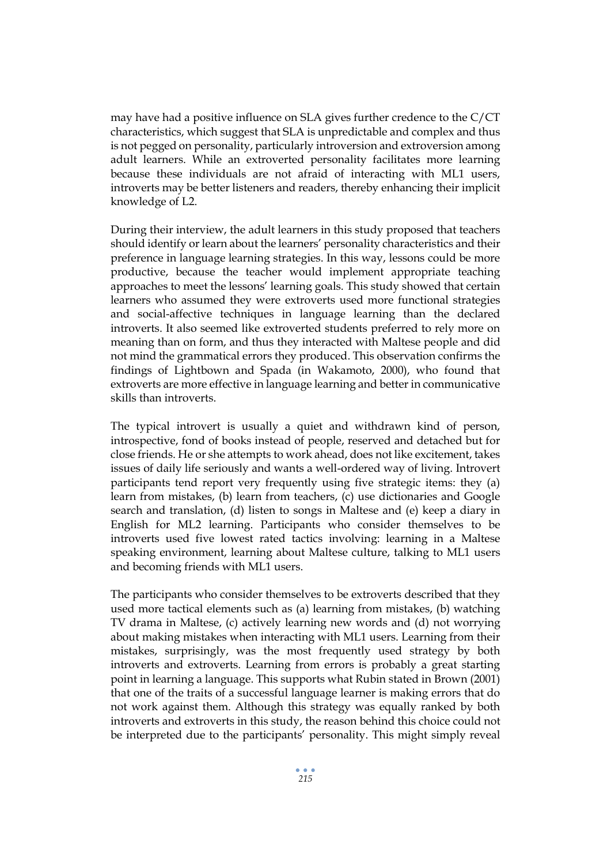may have had a positive influence on SLA gives further credence to the C/CT characteristics, which suggest that SLA is unpredictable and complex and thus is not pegged on personality, particularly introversion and extroversion among adult learners. While an extroverted personality facilitates more learning because these individuals are not afraid of interacting with ML1 users, introverts may be better listeners and readers, thereby enhancing their implicit knowledge of L2.

During their interview, the adult learners in this study proposed that teachers should identify or learn about the learners' personality characteristics and their preference in language learning strategies. In this way, lessons could be more productive, because the teacher would implement appropriate teaching approaches to meet the lessons' learning goals. This study showed that certain learners who assumed they were extroverts used more functional strategies and social-affective techniques in language learning than the declared introverts. It also seemed like extroverted students preferred to rely more on meaning than on form, and thus they interacted with Maltese people and did not mind the grammatical errors they produced. This observation confirms the findings of Lightbown and Spada (in Wakamoto, 2000), who found that extroverts are more effective in language learning and better in communicative skills than introverts.

The typical introvert is usually a quiet and withdrawn kind of person, introspective, fond of books instead of people, reserved and detached but for close friends. He or she attempts to work ahead, does not like excitement, takes issues of daily life seriously and wants a well-ordered way of living. Introvert participants tend report very frequently using five strategic items: they (a) learn from mistakes, (b) learn from teachers, (c) use dictionaries and Google search and translation, (d) listen to songs in Maltese and (e) keep a diary in English for ML2 learning. Participants who consider themselves to be introverts used five lowest rated tactics involving: learning in a Maltese speaking environment, learning about Maltese culture, talking to ML1 users and becoming friends with ML1 users.

The participants who consider themselves to be extroverts described that they used more tactical elements such as (a) learning from mistakes, (b) watching TV drama in Maltese, (c) actively learning new words and (d) not worrying about making mistakes when interacting with ML1 users. Learning from their mistakes, surprisingly, was the most frequently used strategy by both introverts and extroverts. Learning from errors is probably a great starting point in learning a language. This supports what Rubin stated in Brown (2001) that one of the traits of a successful language learner is making errors that do not work against them. Although this strategy was equally ranked by both introverts and extroverts in this study, the reason behind this choice could not be interpreted due to the participants' personality. This might simply reveal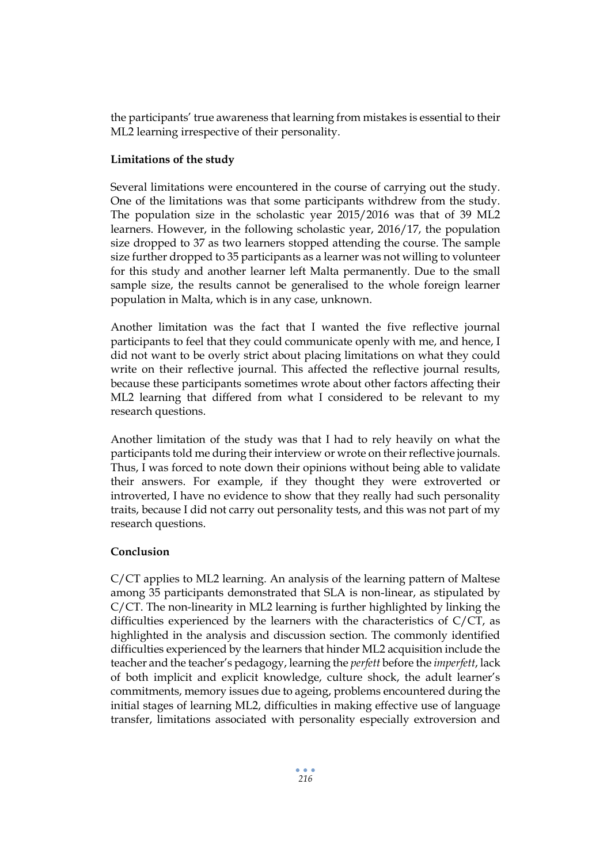the participants' true awareness that learning from mistakes is essential to their ML2 learning irrespective of their personality.

## **Limitations of the study**

Several limitations were encountered in the course of carrying out the study. One of the limitations was that some participants withdrew from the study. The population size in the scholastic year 2015/2016 was that of 39 ML2 learners. However, in the following scholastic year, 2016/17, the population size dropped to 37 as two learners stopped attending the course. The sample size further dropped to 35 participants as a learner was not willing to volunteer for this study and another learner left Malta permanently. Due to the small sample size, the results cannot be generalised to the whole foreign learner population in Malta, which is in any case, unknown.

Another limitation was the fact that I wanted the five reflective journal participants to feel that they could communicate openly with me, and hence, I did not want to be overly strict about placing limitations on what they could write on their reflective journal. This affected the reflective journal results, because these participants sometimes wrote about other factors affecting their ML2 learning that differed from what I considered to be relevant to my research questions.

Another limitation of the study was that I had to rely heavily on what the participants told me during their interview or wrote on their reflective journals. Thus, I was forced to note down their opinions without being able to validate their answers. For example, if they thought they were extroverted or introverted, I have no evidence to show that they really had such personality traits, because I did not carry out personality tests, and this was not part of my research questions.

#### **Conclusion**

C/CT applies to ML2 learning. An analysis of the learning pattern of Maltese among 35 participants demonstrated that SLA is non-linear, as stipulated by C/CT. The non-linearity in ML2 learning is further highlighted by linking the difficulties experienced by the learners with the characteristics of  $C/CT$ , as highlighted in the analysis and discussion section. The commonly identified difficulties experienced by the learners that hinder ML2 acquisition include the teacher and the teacher's pedagogy, learning the *perfett* before the *imperfett*, lack of both implicit and explicit knowledge, culture shock, the adult learner's commitments, memory issues due to ageing, problems encountered during the initial stages of learning ML2, difficulties in making effective use of language transfer, limitations associated with personality especially extroversion and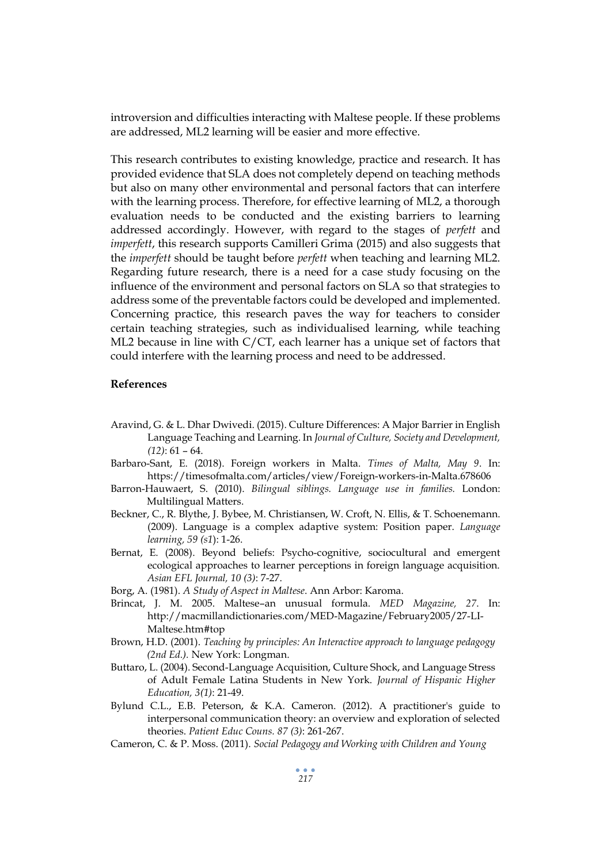introversion and difficulties interacting with Maltese people. If these problems are addressed, ML2 learning will be easier and more effective.

This research contributes to existing knowledge, practice and research. It has provided evidence that SLA does not completely depend on teaching methods but also on many other environmental and personal factors that can interfere with the learning process. Therefore, for effective learning of ML2, a thorough evaluation needs to be conducted and the existing barriers to learning addressed accordingly. However, with regard to the stages of *perfett* and *imperfett*, this research supports Camilleri Grima (2015) and also suggests that the *imperfett* should be taught before *perfett* when teaching and learning ML2. Regarding future research, there is a need for a case study focusing on the influence of the environment and personal factors on SLA so that strategies to address some of the preventable factors could be developed and implemented. Concerning practice, this research paves the way for teachers to consider certain teaching strategies, such as individualised learning, while teaching ML2 because in line with C/CT, each learner has a unique set of factors that could interfere with the learning process and need to be addressed.

#### **References**

- Aravind, G. & L. Dhar Dwivedi. (2015). Culture Differences: A Major Barrier in English Language Teaching and Learning. In *Journal of Culture, Society and Development, (12)*: 61 – 64.
- Barbaro-Sant, E. (2018). Foreign workers in Malta. *Times of Malta, May 9*. In: https://timesofmalta.com/articles/view/Foreign-workers-in-Malta.678606
- Barron-Hauwaert, S. (2010). *Bilingual siblings. Language use in families.* London: Multilingual Matters.
- Beckner, C., R. Blythe, J. Bybee, M. Christiansen, W. Croft, N. Ellis, & T. Schoenemann. (2009). Language is a complex adaptive system: Position paper. *Language learning, 59 (s1*): 1-26.
- Bernat, E. (2008). Beyond beliefs: Psycho-cognitive, sociocultural and emergent ecological approaches to learner perceptions in foreign language acquisition. *Asian EFL Journal, 10 (3)*: 7-27.
- Borg, A. (1981). *A Study of Aspect in Maltese*. Ann Arbor: Karoma.
- Brincat, J. M. 2005. Maltese–an unusual formula. *MED Magazine, 27*. In: http://macmillandictionaries.com/MED-Magazine/February2005/27-LI-Maltese.htm#top
- Brown, H.D. (2001). *Teaching by principles: An Interactive approach to language pedagogy (2nd Ed.).* New York: Longman.
- Buttaro, L. (2004). Second-Language Acquisition, Culture Shock, and Language Stress of Adult Female Latina Students in New York. *Journal of Hispanic Higher Education, 3(1)*: 21-49.
- Bylund C.L., E.B. Peterson, & K.A. Cameron. (2012). A practitioner's guide to interpersonal communication theory: an overview and exploration of selected theories. *Patient Educ Couns. 87 (3)*: 261-267.
- Cameron, C. & P. Moss. (2011). *Social Pedagogy and Working with Children and Young*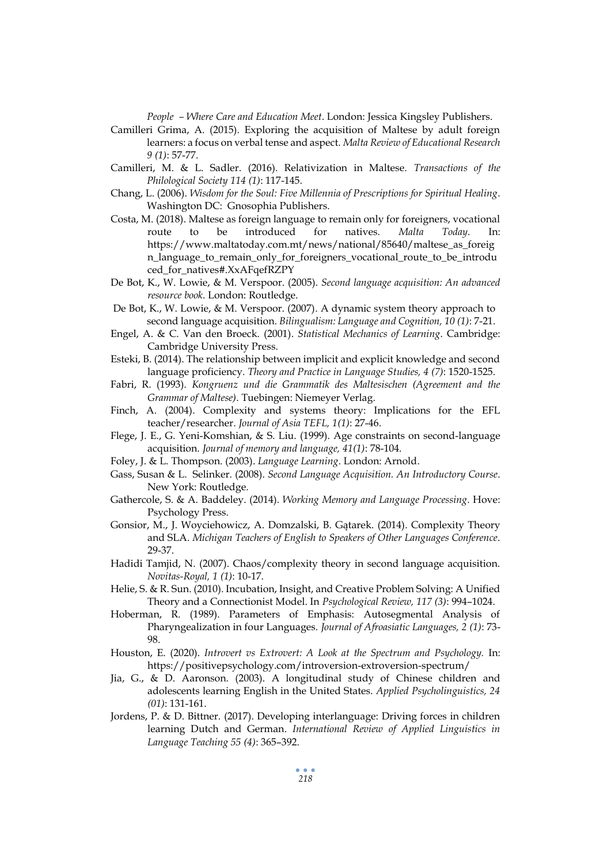*People – Where Care and Education Meet*. London: Jessica Kingsley Publishers.

- Camilleri Grima, A. (2015). Exploring the acquisition of Maltese by adult foreign learners: a focus on verbal tense and aspect. *Malta Review of Educational Research 9 (1)*: 57-77.
- Camilleri, M. & L. Sadler. (2016). Relativization in Maltese. *Transactions of the Philological Society 114 (1)*: 117-145.
- Chang, L. (2006). *Wisdom for the Soul: Five Millennia of Prescriptions for Spiritual Healing*. Washington DC: Gnosophia Publishers.
- Costa, M. (2018). Maltese as foreign language to remain only for foreigners, vocational route to be introduced for natives. *Malta Today*. In: https://www.maltatoday.com.mt/news/national/85640/maltese\_as\_foreig n\_language\_to\_remain\_only\_for\_foreigners\_vocational\_route\_to\_be\_introdu ced\_for\_natives#.XxAFqefRZPY
- De Bot, K., W. Lowie, & M. Verspoor. (2005). *Second language acquisition: An advanced resource book*. London: Routledge.
- De Bot, K., W. Lowie, & M. Verspoor. (2007). A dynamic system theory approach to second language acquisition. *Bilingualism: Language and Cognition, 10 (1)*: 7-21.
- Engel, A. & C. Van den Broeck. (2001). *Statistical Mechanics of Learning*. Cambridge: Cambridge University Press.
- Esteki, B. (2014). The relationship between implicit and explicit knowledge and second language proficiency. *Theory and Practice in Language Studies, 4 (7)*: 1520-1525.
- Fabri, R. (1993). *Kongruenz und die Grammatik des Maltesischen (Agreement and the Grammar of Maltese)*. Tuebingen: Niemeyer Verlag.
- Finch, A. (2004). Complexity and systems theory: Implications for the EFL teacher/researcher. *Journal of Asia TEFL, 1(1)*: 27-46.
- Flege, J. E., G. Yeni-Komshian, & S. Liu. (1999). Age constraints on second-language acquisition. *Journal of memory and language, 41(1)*: 78-104.
- Foley, J. & L. Thompson. (2003). *Language Learning*. London: Arnold.
- Gass, Susan & L. Selinker. (2008). *Second Language Acquisition. An Introductory Course*. New York: Routledge.
- Gathercole, S. & A. Baddeley. (2014). *Working Memory and Language Processing*. Hove: Psychology Press.
- Gonsior, M., J. Woyciehowicz, A. Domzalski, B. Gątarek. (2014). Complexity Theory and SLA. *Michigan Teachers of English to Speakers of Other Languages Conference*. 29-37.
- Hadidi Tamjid, N. (2007). Chaos/complexity theory in second language acquisition. *Novitas-Royal, 1 (1)*: 10-17.
- Helie, S. & R. Sun. (2010). Incubation, Insight, and Creative Problem Solving: A Unified Theory and a Connectionist Model. In *Psychological Review, 117 (3)*: 994–1024.
- Hoberman, R. (1989). Parameters of Emphasis: Autosegmental Analysis of Pharyngealization in four Languages. *Journal of Afroasiatic Languages, 2 (1)*: 73- 98.
- Houston, E. (2020). *Introvert vs Extrovert: A Look at the Spectrum and Psychology.* In: https://positivepsychology.com/introversion-extroversion-spectrum/
- Jia, G., & D. Aaronson. (2003). A longitudinal study of Chinese children and adolescents learning English in the United States. *Applied Psycholinguistics, 24 (01)*: 131-161.
- Jordens, P. & D. Bittner. (2017). Developing interlanguage: Driving forces in children learning Dutch and German. *International Review of Applied Linguistics in Language Teaching 55 (4)*: 365–392.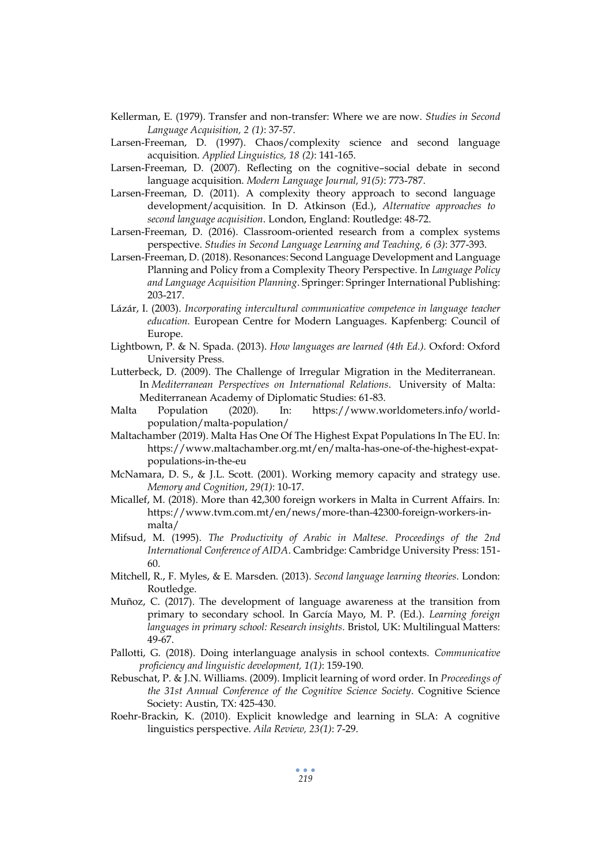- Kellerman, E. (1979). Transfer and non-transfer: Where we are now. *Studies in Second Language Acquisition, 2 (1)*: 37-57.
- Larsen-Freeman, D. (1997). Chaos/complexity science and second language acquisition. *Applied Linguistics, 18 (2)*: 141-165.
- Larsen-Freeman, D. (2007). Reflecting on the cognitive–social debate in second language acquisition. *Modern Language Journal, 91(5)*: 773-787.
- Larsen-Freeman, D. (2011). A complexity theory approach to second language development/acquisition. In D. Atkinson (Ed.), *Alternative approaches to second language acquisition*. London, England: Routledge: 48-72.
- Larsen-Freeman, D. (2016). Classroom-oriented research from a complex systems perspective. *Studies in Second Language Learning and Teaching, 6 (3)*: 377-393.
- Larsen-Freeman, D. (2018). Resonances: Second Language Development and Language Planning and Policy from a Complexity Theory Perspective. In *Language Policy and Language Acquisition Planning*. Springer: Springer International Publishing: 203-217.
- Lázár, I. (2003). *Incorporating intercultural communicative competence in language teacher education.* European Centre for Modern Languages. Kapfenberg: Council of Europe.
- Lightbown, P. & N. Spada. (2013). *How languages are learned (4th Ed.).* Oxford: Oxford University Press.
- Lutterbeck, D. (2009). The Challenge of Irregular Migration in the Mediterranean. In *Mediterranean Perspectives on International Relations*. University of Malta: Mediterranean Academy of Diplomatic Studies: 61-83.
- Malta Population (2020). In: https://www.worldometers.info/worldpopulation/malta-population/
- Maltachamber (2019). Malta Has One Of The Highest Expat Populations In The EU. In: https://www.maltachamber.org.mt/en/malta-has-one-of-the-highest-expatpopulations-in-the-eu
- McNamara, D. S., & J.L. Scott. (2001). Working memory capacity and strategy use. *Memory and Cognition*, *29(1)*: 10-17.
- Micallef, M. (2018). More than 42,300 foreign workers in Malta in Current Affairs. In: https://www.tvm.com.mt/en/news/more-than-42300-foreign-workers-inmalta/
- Mifsud, M. (1995). *The Productivity of Arabic in Maltese*. *Proceedings of the 2nd International Conference of AIDA*. Cambridge: Cambridge University Press: 151- 60.
- Mitchell, R., F. Myles, & E. Marsden. (2013). *Second language learning theories*. London: Routledge.
- Muñoz, C. (2017). The development of language awareness at the transition from primary to secondary school. In García Mayo, M. P. (Ed.). *Learning foreign languages in primary school: Research insights*. Bristol, UK: Multilingual Matters: 49-67.
- Pallotti, G. (2018). Doing interlanguage analysis in school contexts. *Communicative proficiency and linguistic development, 1(1)*: 159-190.
- Rebuschat, P. & J.N. Williams. (2009). Implicit learning of word order. In *Proceedings of the 31st Annual Conference of the Cognitive Science Society*. Cognitive Science Society: Austin, TX: 425-430.
- Roehr-Brackin, K. (2010). Explicit knowledge and learning in SLA: A cognitive linguistics perspective. *Aila Review, 23(1)*: 7-29.